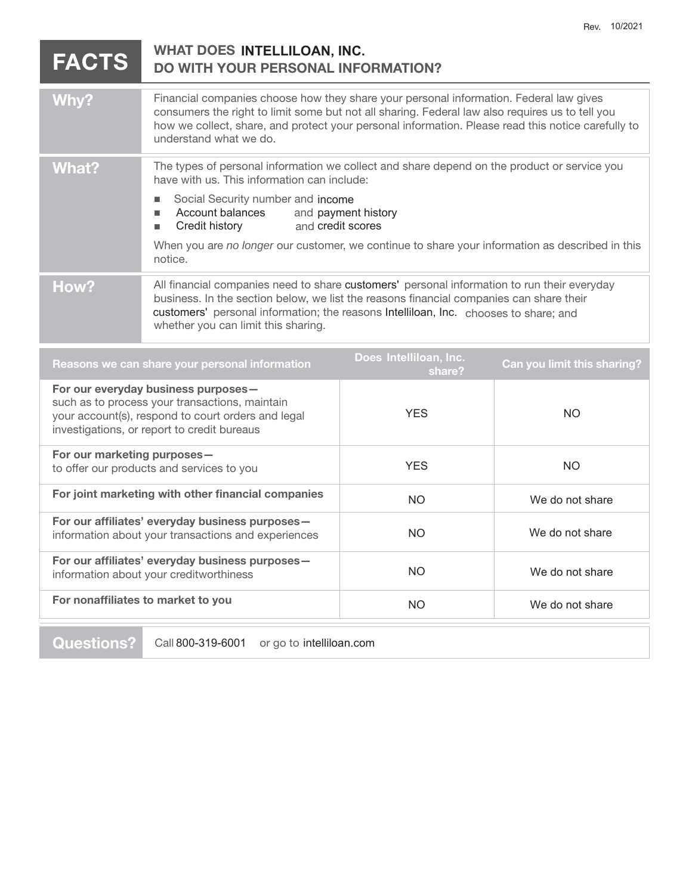| <b>FACTS</b>                                                                                                                                                                               | WHAT DOES INTELLILOAN, INC.<br><b>DO WITH YOUR PERSONAL INFORMATION?</b>                                                                                                                                                                                                                                                                                                                  |                                  |                             |
|--------------------------------------------------------------------------------------------------------------------------------------------------------------------------------------------|-------------------------------------------------------------------------------------------------------------------------------------------------------------------------------------------------------------------------------------------------------------------------------------------------------------------------------------------------------------------------------------------|----------------------------------|-----------------------------|
| Why?                                                                                                                                                                                       | Financial companies choose how they share your personal information. Federal law gives<br>consumers the right to limit some but not all sharing. Federal law also requires us to tell you<br>how we collect, share, and protect your personal information. Please read this notice carefully to<br>understand what we do.                                                                 |                                  |                             |
| <b>What?</b>                                                                                                                                                                               | The types of personal information we collect and share depend on the product or service you<br>have with us. This information can include:<br>Social Security number and income<br>Account balances<br>and payment history<br>п<br>Credit history<br>and credit scores<br>٠<br>When you are no longer our customer, we continue to share your information as described in this<br>notice. |                                  |                             |
| How?                                                                                                                                                                                       | All financial companies need to share customers' personal information to run their everyday<br>business. In the section below, we list the reasons financial companies can share their<br>customers' personal information; the reasons Intelliloan, Inc. chooses to share; and<br>whether you can limit this sharing.                                                                     |                                  |                             |
| Reasons we can share your personal information                                                                                                                                             |                                                                                                                                                                                                                                                                                                                                                                                           | Does Intelliloan, Inc.<br>share? | Can you limit this sharing? |
| For our everyday business purposes-<br>such as to process your transactions, maintain<br>your account(s), respond to court orders and legal<br>investigations, or report to credit bureaus |                                                                                                                                                                                                                                                                                                                                                                                           | <b>YES</b>                       | <b>NO</b>                   |
| For our marketing purposes-<br>to offer our products and services to you                                                                                                                   |                                                                                                                                                                                                                                                                                                                                                                                           | <b>YES</b>                       | <b>NO</b>                   |
| For joint marketing with other financial companies                                                                                                                                         |                                                                                                                                                                                                                                                                                                                                                                                           | <b>NO</b>                        | We do not share             |
| For our affiliates' everyday business purposes-<br>information about your transactions and experiences                                                                                     |                                                                                                                                                                                                                                                                                                                                                                                           | <b>NO</b>                        | We do not share             |
| For our affiliates' everyday business purposes-<br>information about your creditworthiness                                                                                                 |                                                                                                                                                                                                                                                                                                                                                                                           | <b>NO</b>                        | We do not share             |
| For nonaffiliates to market to you                                                                                                                                                         |                                                                                                                                                                                                                                                                                                                                                                                           | <b>NO</b>                        | We do not share             |

**Questions?** Call 800-319-6001 or go to intelliloan.com